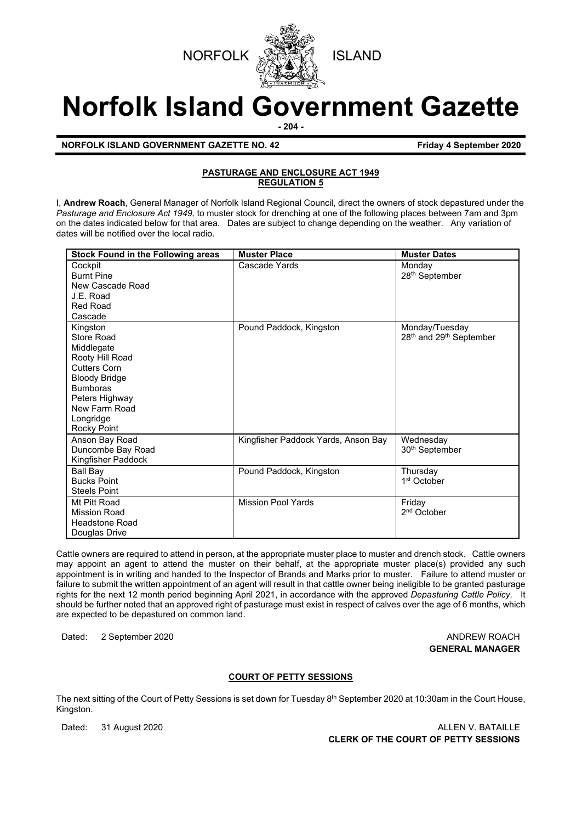



# **Norfolk Island Government Gazette**

**- 204 -**

**NORFOLK ISLAND GOVERNMENT GAZETTE NO. 42 Friday 4 September 2020**

### **PASTURAGE AND ENCLOSURE ACT 1949 REGULATION 5**

I, **Andrew Roach**, General Manager of Norfolk Island Regional Council, direct the owners of stock depastured under the *Pasturage and Enclosure Act 1949,* to muster stock for drenching at one of the following places between 7am and 3pm on the dates indicated below for that area. Dates are subject to change depending on the weather. Any variation of dates will be notified over the local radio.

| <b>Stock Found in the Following areas</b> | <b>Muster Place</b>                 | <b>Muster Dates</b>                             |
|-------------------------------------------|-------------------------------------|-------------------------------------------------|
| Cockpit                                   | Cascade Yards                       | Monday                                          |
| <b>Burnt Pine</b>                         |                                     | 28 <sup>th</sup> September                      |
| New Cascade Road                          |                                     |                                                 |
| J.E. Road                                 |                                     |                                                 |
| Red Road                                  |                                     |                                                 |
| Cascade                                   |                                     |                                                 |
| Kingston                                  | Pound Paddock, Kingston             | Monday/Tuesday                                  |
| Store Road                                |                                     | 28 <sup>th</sup> and 29 <sup>th</sup> September |
| Middlegate                                |                                     |                                                 |
| Rooty Hill Road                           |                                     |                                                 |
| <b>Cutters Corn</b>                       |                                     |                                                 |
| <b>Bloody Bridge</b>                      |                                     |                                                 |
| <b>Bumboras</b>                           |                                     |                                                 |
| Peters Highway                            |                                     |                                                 |
| New Farm Road                             |                                     |                                                 |
| Longridge                                 |                                     |                                                 |
| Rocky Point                               |                                     |                                                 |
| Anson Bay Road                            | Kingfisher Paddock Yards, Anson Bay | Wednesday                                       |
| Duncombe Bay Road                         |                                     | 30 <sup>th</sup> September                      |
| Kingfisher Paddock                        |                                     |                                                 |
| Ball Bay                                  | Pound Paddock, Kingston             | Thursday                                        |
| <b>Bucks Point</b>                        |                                     | 1 <sup>st</sup> October                         |
| <b>Steels Point</b>                       |                                     |                                                 |
| Mt Pitt Road                              | <b>Mission Pool Yards</b>           | Friday                                          |
| <b>Mission Road</b>                       |                                     | 2 <sup>nd</sup> October                         |
| <b>Headstone Road</b>                     |                                     |                                                 |
| Douglas Drive                             |                                     |                                                 |

Cattle owners are required to attend in person, at the appropriate muster place to muster and drench stock. Cattle owners may appoint an agent to attend the muster on their behalf, at the appropriate muster place(s) provided any such appointment is in writing and handed to the Inspector of Brands and Marks prior to muster. Failure to attend muster or failure to submit the written appointment of an agent will result in that cattle owner being ineligible to be granted pasturage rights for the next 12 month period beginning April 2021, in accordance with the approved *Depasturing Cattle Policy.* It should be further noted that an approved right of pasturage must exist in respect of calves over the age of 6 months, which are expected to be depastured on common land.

Dated: 2 September 2020 **ANDREW ROACH** 

# **GENERAL MANAGER**

### **COURT OF PETTY SESSIONS**

The next sitting of the Court of Petty Sessions is set down for Tuesday 8<sup>th</sup> September 2020 at 10:30am in the Court House, Kingston.

Dated: 31 August 2020 **ALLEN V. BATAILLE CLERK OF THE COURT OF PETTY SESSIONS**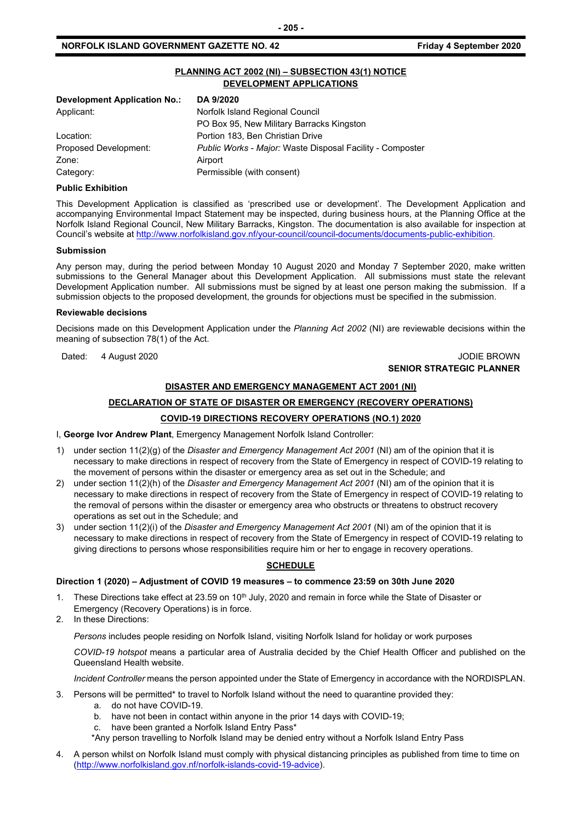### **NORFOLK ISLAND GOVERNMENT GAZETTE NO. 42 Friday 4 September 2020**

### **PLANNING ACT 2002 (NI) – SUBSECTION 43(1) NOTICE DEVELOPMENT APPLICATIONS**

| DA 9/2020                                                 |
|-----------------------------------------------------------|
| Norfolk Island Regional Council                           |
| PO Box 95, New Military Barracks Kingston                 |
| Portion 183, Ben Christian Drive                          |
| Public Works - Major: Waste Disposal Facility - Composter |
| Airport                                                   |
| Permissible (with consent)                                |
|                                                           |

### **Public Exhibition**

This Development Application is classified as 'prescribed use or development'. The Development Application and accompanying Environmental Impact Statement may be inspected, during business hours, at the Planning Office at the Norfolk Island Regional Council, New Military Barracks, Kingston. The documentation is also available for inspection at Council's website a[t http://www.norfolkisland.gov.nf/your-council/council-documents/documents-public-exhibition.](http://www.norfolkisland.gov.nf/your-council/council-documents/documents-public-exhibition) 

### **Submission**

Any person may, during the period between Monday 10 August 2020 and Monday 7 September 2020, make written submissions to the General Manager about this Development Application. All submissions must state the relevant Development Application number. All submissions must be signed by at least one person making the submission. If a submission objects to the proposed development, the grounds for objections must be specified in the submission.

#### **Reviewable decisions**

Decisions made on this Development Application under the *Planning Act 2002* (NI) are reviewable decisions within the meaning of subsection 78(1) of the Act.

Dated: 4 August 2020 **JODIE BROWN** 

### **SENIOR STRATEGIC PLANNER**

### **DISASTER AND EMERGENCY MANAGEMENT ACT 2001 (NI)**

### **DECLARATION OF STATE OF DISASTER OR EMERGENCY (RECOVERY OPERATIONS)**

### **COVID-19 DIRECTIONS RECOVERY OPERATIONS (NO.1) 2020**

I, **George Ivor Andrew Plant**, Emergency Management Norfolk Island Controller:

- 1) under section 11(2)(g) of the *Disaster and Emergency Management Act 2001* (NI) am of the opinion that it is necessary to make directions in respect of recovery from the State of Emergency in respect of COVID-19 relating to the movement of persons within the disaster or emergency area as set out in the Schedule; and
- 2) under section 11(2)(h) of the *Disaster and Emergency Management Act 2001* (NI) am of the opinion that it is necessary to make directions in respect of recovery from the State of Emergency in respect of COVID-19 relating to the removal of persons within the disaster or emergency area who obstructs or threatens to obstruct recovery operations as set out in the Schedule; and
- 3) under section 11(2)(i) of the *Disaster and Emergency Management Act 2001* (NI) am of the opinion that it is necessary to make directions in respect of recovery from the State of Emergency in respect of COVID-19 relating to giving directions to persons whose responsibilities require him or her to engage in recovery operations.

### **SCHEDULE**

### **Direction 1 (2020) – Adjustment of COVID 19 measures – to commence 23:59 on 30th June 2020**

- These Directions take effect at 23.59 on 10<sup>th</sup> July, 2020 and remain in force while the State of Disaster or Emergency (Recovery Operations) is in force.
- 2. In these Directions:

*Persons* includes people residing on Norfolk Island, visiting Norfolk Island for holiday or work purposes

*COVID-19 hotspot* means a particular area of Australia decided by the Chief Health Officer and published on the Queensland Health website.

*Incident Controller* means the person appointed under the State of Emergency in accordance with the NORDISPLAN.

- 3. Persons will be permitted\* to travel to Norfolk Island without the need to quarantine provided they:
	- a. do not have COVID-19.
	- b. have not been in contact within anyone in the prior 14 days with COVID-19;
	- c. have been granted a Norfolk Island Entry Pass\*
	- \*Any person travelling to Norfolk Island may be denied entry without a Norfolk Island Entry Pass
- 4. A person whilst on Norfolk Island must comply with physical distancing principles as published from time to time on [\(http://www.norfolkisland.gov.nf/norfolk-islands-covid-19-advice\)](http://www.norfolkisland.gov.nf/norfolk-islands-covid-19-advice).